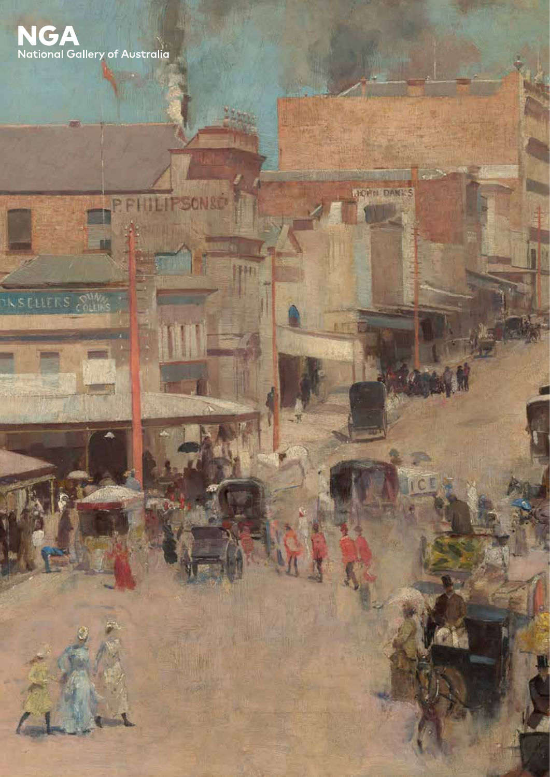

**KSELLERS** SUM

SONSO

疝

**MONN DANKS**